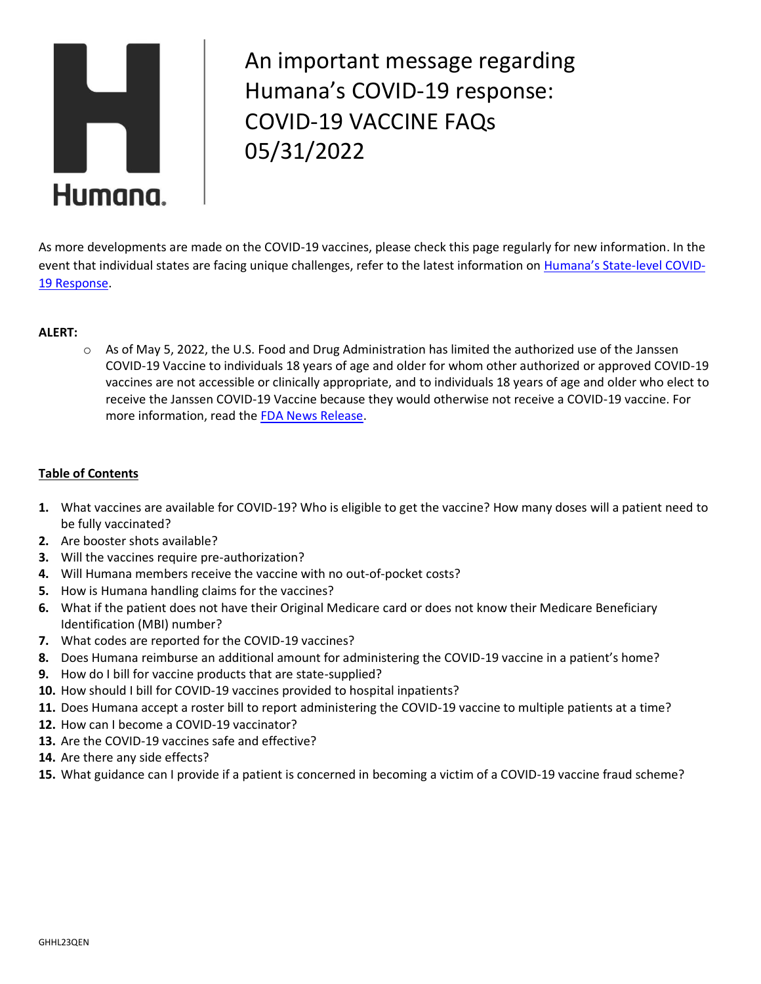

An important message regarding Humana's COVID-19 response: COVID-19 VACCINE FAQs 05/31/2022

As more developments are made on the COVID-19 vaccines, please check this page regularly for new information. In the event that individual states are facing unique challenges, refer to the latest information on [Humana's State](https://www.humana.com/provider/coronavirus/state-covid-information)-level COVID-[19 Response.](https://www.humana.com/provider/coronavirus/state-covid-information)

# **ALERT:**

 $\circ$  As of May 5, 2022, the U.S. Food and Drug Administration has limited the authorized use of the Janssen COVID-19 Vaccine to individuals 18 years of age and older for whom other authorized or approved COVID-19 vaccines are not accessible or clinically appropriate, and to individuals 18 years of age and older who elect to receive the Janssen COVID-19 Vaccine because they would otherwise not receive a COVID-19 vaccine. For more information, read the [FDA News Release.](https://www.fda.gov/news-events/press-announcements/coronavirus-covid-19-update-fda-limits-use-janssen-covid-19-vaccine-certain-individuals#:~:text=Today%2C%20the%20U.S.%20Food%20and,who%20elect%20to%20receive%20the)

# **Table of Contents**

- **1.** What vaccines are available for COVID-19? Who is eligible to get the vaccine? How many doses will a patient need to be fully vaccinated?
- **2.** Are booster shots available?
- **3.** Will the vaccines require pre-authorization?
- **4.** Will Humana members receive the vaccine with no out-of-pocket costs?
- **5.** How is Humana handling claims for the vaccines?
- **6.** What if the patient does not have their Original Medicare card or does not know their Medicare Beneficiary Identification (MBI) number?
- **7.** What codes are reported for the COVID-19 vaccines?
- **8.** Does Humana reimburse an additional amount for administering the COVID-19 vaccine in a patient's home?
- **9.** How do I bill for vaccine products that are state-supplied?
- **10.** How should I bill for COVID-19 vaccines provided to hospital inpatients?
- **11.** Does Humana accept a roster bill to report administering the COVID-19 vaccine to multiple patients at a time?
- **12.** How can I become a COVID-19 vaccinator?
- **13.** Are the COVID-19 vaccines safe and effective?
- **14.** Are there any side effects?
- **15.** What guidance can I provide if a patient is concerned in becoming a victim of a COVID-19 vaccine fraud scheme?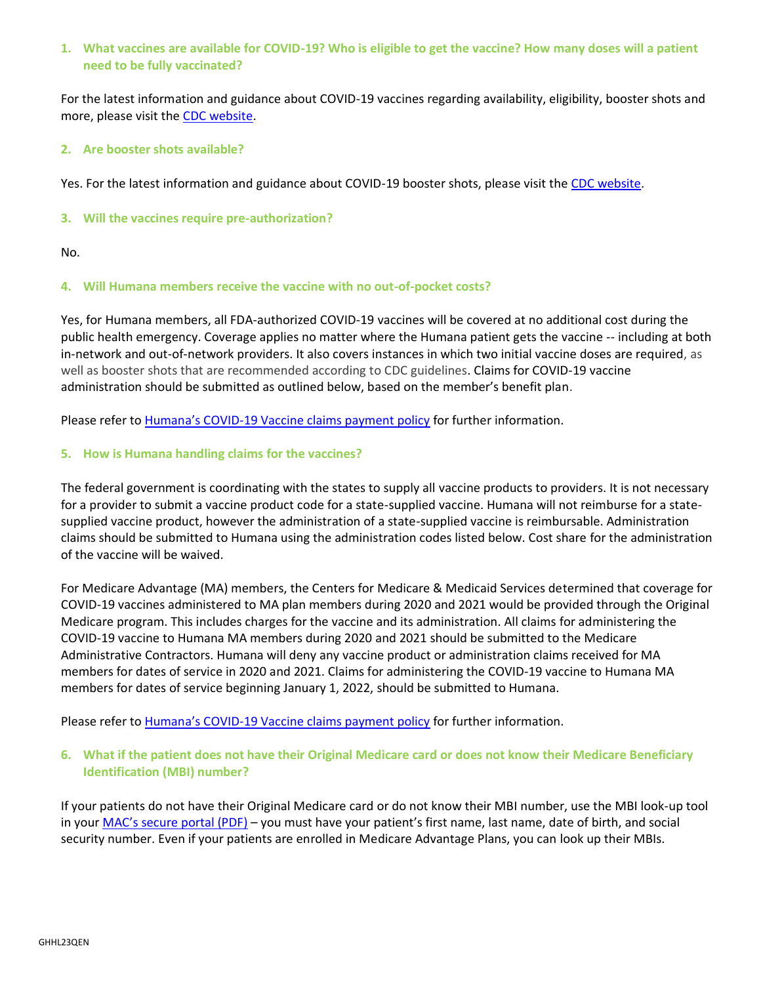## **1. What vaccines are available for COVID-19? Who is eligible to get the vaccine? How many doses will a patient need to be fully vaccinated?**

For the latest information and guidance about COVID-19 vaccines regarding availability, eligibility, booster shots and more, please visit the [CDC website.](https://www.cdc.gov/vaccines/covid-19/info-by-product/index.html)

## **2. Are booster shots available?**

Yes. For the latest information and guidance about COVID-19 booster shots, please visit th[e CDC website.](https://www.cdc.gov/coronavirus/2019-ncov/vaccines/booster-shot.html)

## **3. Will the vaccines require pre-authorization?**

No.

# **4. Will Humana members receive the vaccine with no out-of-pocket costs?**

Yes, for Humana members, all FDA-authorized COVID-19 vaccines will be covered at no additional cost during the public health emergency. Coverage applies no matter where the Humana patient gets the vaccine -- including at both in-network and out-of-network providers. It also covers instances in which two initial vaccine doses are required, as well as booster shots that are recommended according to CDC guidelines. Claims for COVID-19 vaccine administration should be submitted as outlined below, based on the member's benefit plan.

Please refer to Humana's COVID[-19 Vaccine claims payment policy](https://dctm.humana.com/Mentor/Web/v.aspx?chronicleID=0900092982fc6a87&searchID=8a8e01f5-a417-4f5a-bead-8843e9f800f2&dl=1) for further information.

# **5. How is Humana handling claims for the vaccines?**

The federal government is coordinating with the states to supply all vaccine products to providers. It is not necessary for a provider to submit a vaccine product code for a state-supplied vaccine. Humana will not reimburse for a statesupplied vaccine product, however the administration of a state-supplied vaccine is reimbursable. Administration claims should be submitted to Humana using the administration codes listed below. Cost share for the administration of the vaccine will be waived.

For Medicare Advantage (MA) members, the Centers for Medicare & Medicaid Services determined that coverage for COVID-19 vaccines administered to MA plan members during 2020 and 2021 would be provided through the Original Medicare program. This includes charges for the vaccine and its administration. All claims for administering the COVID-19 vaccine to Humana MA members during 2020 and 2021 should be submitted to the Medicare Administrative Contractors. Humana will deny any vaccine product or administration claims received for MA members for dates of service in 2020 and 2021. Claims for administering the COVID-19 vaccine to Humana MA members for dates of service beginning January 1, 2022, should be submitted to Humana.

Please refer to Humana's COVID[-19 Vaccine claims payment policy](https://dctm.humana.com/Mentor/Web/v.aspx?chronicleID=0900092982fc6a87&searchID=8a8e01f5-a417-4f5a-bead-8843e9f800f2&dl=1) for further information.

# **6. What if the patient does not have their Original Medicare card or does not know their Medicare Beneficiary Identification (MBI) number?**

If your patients do not have their Original Medicare card or do not know their MBI number, use the MBI look-up tool in your MAC's [secure](https://www.cms.gov/Medicare/New-Medicare-Card/Providers/MACs-Provider-Portals-by-State.pdf) portal (PDF) – you must have your patient's first name, last name, date of birth, and social security number. Even if your patients are enrolled in Medicare Advantage Plans, you can look up their MBIs.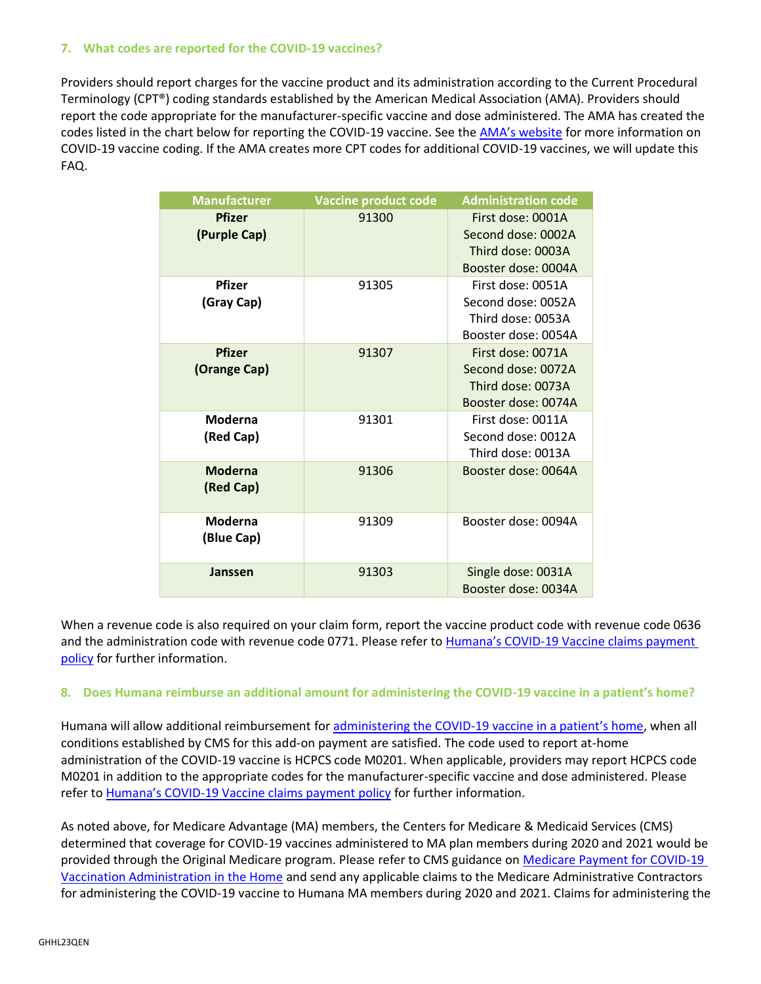## **7. What codes are reported for the COVID-19 vaccines?**

Providers should report charges for the vaccine product and its administration according to the Current Procedural Terminology (CPT®) coding standards established by the American Medical Association (AMA). Providers should report the code appropriate for the manufacturer-specific vaccine and dose administered. The AMA has created the codes listed in the chart below for reporting the COVID-19 vaccine. See the [AMA's website](https://www.ama-assn.org/practice-management/cpt/covid-19-cpt-vaccine-and-immunization-codes) for more information on COVID-19 vaccine coding. If the AMA creates more CPT codes for additional COVID-19 vaccines, we will update this FAQ.

| <b>Manufacturer</b>           | <b>Vaccine product code</b> | <b>Administration code</b>                                                          |
|-------------------------------|-----------------------------|-------------------------------------------------------------------------------------|
| <b>Pfizer</b><br>(Purple Cap) | 91300                       | First dose: 0001A<br>Second dose: 0002A<br>Third dose: 0003A<br>Booster dose: 0004A |
| <b>Pfizer</b><br>(Gray Cap)   | 91305                       | First dose: 0051A<br>Second dose: 0052A<br>Third dose: 0053A<br>Booster dose: 0054A |
| <b>Pfizer</b><br>(Orange Cap) | 91307                       | First dose: 0071A<br>Second dose: 0072A<br>Third dose: 0073A<br>Booster dose: 0074A |
| Moderna<br>(Red Cap)          | 91301                       | First dose: 0011A<br>Second dose: 0012A<br>Third dose: 0013A                        |
| <b>Moderna</b><br>(Red Cap)   | 91306                       | Booster dose: 0064A                                                                 |
| Moderna<br>(Blue Cap)         | 91309                       | Booster dose: 0094A                                                                 |
| Janssen                       | 91303                       | Single dose: 0031A<br>Booster dose: 0034A                                           |

When a revenue code is also required on your claim form, report the vaccine product code with revenue code 0636 and the administration code with revenue code 0771. Please refer to Humana's COVID[-19 Vaccine claims payment](https://dctm.humana.com/Mentor/Web/v.aspx?chronicleID=0900092982fc6a87&searchID=8a8e01f5-a417-4f5a-bead-8843e9f800f2&dl=1)  [policy](https://dctm.humana.com/Mentor/Web/v.aspx?chronicleID=0900092982fc6a87&searchID=8a8e01f5-a417-4f5a-bead-8843e9f800f2&dl=1) for further information.

## **8. Does Humana reimburse an additional amount for administering the COVID-19 vaccine in a patient's home?**

Humana will allow additional reimbursement for administering the COVID-[19 vaccine in a patient's home](https://www.cdc.gov/vaccines/covid-19/clinical-considerations/homebound-persons.html), when all conditions established by CMS for this add-on payment are satisfied. The code used to report at-home administration of the COVID-19 vaccine is HCPCS code M0201. When applicable, providers may report HCPCS code M0201 in addition to the appropriate codes for the manufacturer-specific vaccine and dose administered. Please refer to Humana's COVID[-19 Vaccine claims payment policy](https://dctm.humana.com/Mentor/Web/v.aspx?chronicleID=0900092982fc6a87&searchID=8afc1711-3662-4026-b4d9-f1108d9f7f3a&dl=1) for further information.

As noted above, for Medicare Advantage (MA) members, the Centers for Medicare & Medicaid Services (CMS) determined that coverage for COVID-19 vaccines administered to MA plan members during 2020 and 2021 would be provided through the Original Medicare program. Please refer to CMS guidance o[n Medicare Payment for COVID-19](https://www.cms.gov/files/document/vaccine-home.pdf)  [Vaccination Administration in the Home](https://www.cms.gov/files/document/vaccine-home.pdf) and send any applicable claims to the Medicare Administrative Contractors for administering the COVID-19 vaccine to Humana MA members during 2020 and 2021. Claims for administering the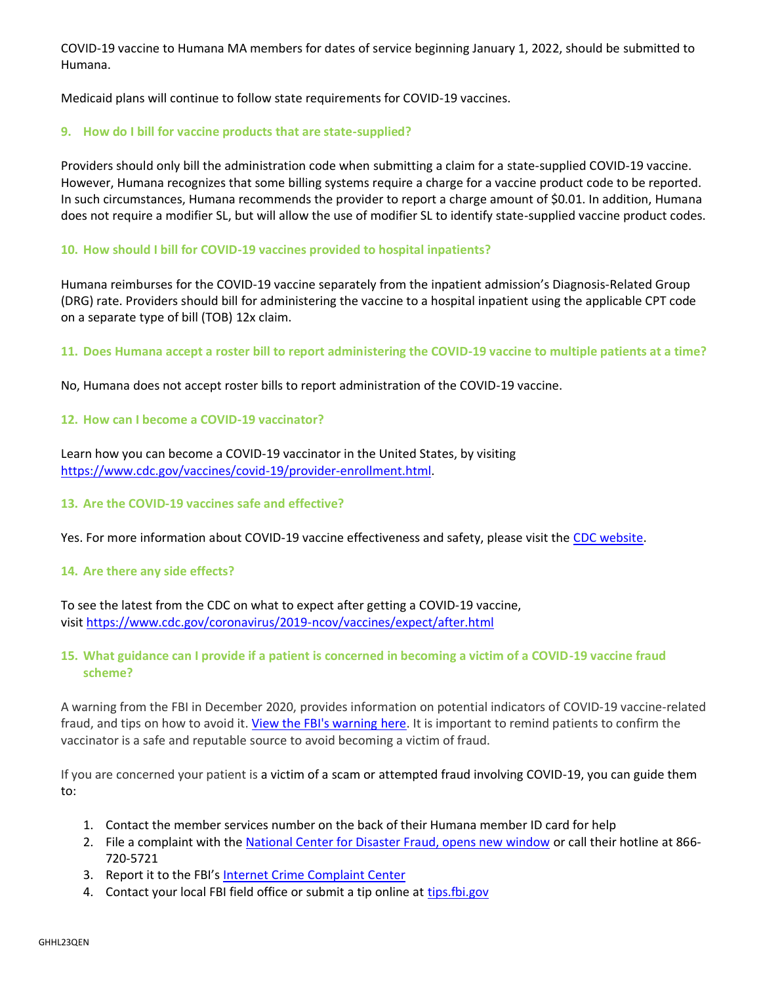COVID-19 vaccine to Humana MA members for dates of service beginning January 1, 2022, should be submitted to Humana.

Medicaid plans will continue to follow state requirements for COVID-19 vaccines.

## **9. How do I bill for vaccine products that are state-supplied?**

Providers should only bill the administration code when submitting a claim for a state-supplied COVID-19 vaccine. However, Humana recognizes that some billing systems require a charge for a vaccine product code to be reported. In such circumstances, Humana recommends the provider to report a charge amount of \$0.01. In addition, Humana does not require a modifier SL, but will allow the use of modifier SL to identify state-supplied vaccine product codes.

## **10. How should I bill for COVID-19 vaccines provided to hospital inpatients?**

Humana reimburses for the COVID-19 vaccine separately from the inpatient admission's Diagnosis-Related Group (DRG) rate. Providers should bill for administering the vaccine to a hospital inpatient using the applicable CPT code on a separate type of bill (TOB) 12x claim.

## **11. Does Humana accept a roster bill to report administering the COVID-19 vaccine to multiple patients at a time?**

No, Humana does not accept roster bills to report administration of the COVID-19 vaccine.

## **12. How can I become a COVID-19 vaccinator?**

Learn how you can become a COVID-19 vaccinator in the United States, by visiting [https://www.cdc.gov/vaccines/covid-19/provider-enrollment.html.](https://www.cdc.gov/vaccines/covid-19/provider-enrollment.html)

#### **13. Are the COVID-19 vaccines safe and effective?**

Yes. For more information about COVID-19 vaccine effectiveness and safety, please visit the [CDC website.](https://www.cdc.gov/mmwr/covid19_vaccine_safety.html)

#### **14. Are there any side effects?**

To see the latest from the CDC on what to expect after getting a COVID-19 vaccine, visit <https://www.cdc.gov/coronavirus/2019-ncov/vaccines/expect/after.html>

## **15. What guidance can I provide if a patient is concerned in becoming a victim of a COVID-19 vaccine fraud scheme?**

A warning from the FBI in December 2020, provides information on potential indicators of COVID-19 vaccine-related fraud, and tips on how to avoid it. [View the FBI's warning here.](https://www.fbi.gov/news/pressrel/press-releases/federal-agencies-warn-of-emerging-fraud-schemes-related-to-covid-19-vaccines) It is important to remind patients to confirm the vaccinator is a safe and reputable source to avoid becoming a victim of fraud.

If you are concerned your patient is a victim of a scam or attempted fraud involving COVID-19, you can guide them to:

- 1. Contact the member services number on the back of their Humana member ID card for help
- 2. File a complaint with the [National Center for Disaster Fraud, opens new window](https://www.justice.gov/disaster-fraud/webform/ncdf-disaster-complaint-form) or call their hotline at 866- 720-5721
- 3. Report it to the FBI's [Internet Crime Complaint Center](https://www.ic3.gov/default.aspx)
- 4. Contact your local FBI field office or submit a tip online at [tips.fbi.gov](https://tips.fbi.gov/)